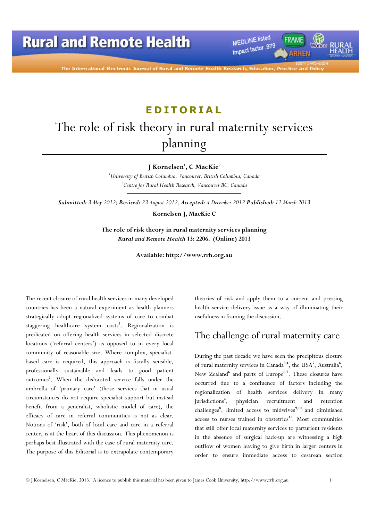MEDLINE listed Impact factor .979

The International Electronic Journal of Rural and Remote

## **EDITORIAL**

# The role of risk theory in rural maternity services planning

J Kornelsen<sup>1</sup>, C MacKie<sup>2</sup>

 $1$ University of British Columbia, Vancouver, British Columbia, Canada  $e^{2}$ Centre for Rural Health Research, Vancouver BC, Canada

Submitted: 3 May 2012; Revised: 23 August 2012, Accepted: 4 December 2012 Published: 12 March 2013

Kornelsen J, MacKie C

The role of risk theory in rural maternity services planning Rural and Remote Health 13: 2206. (Online) 2013

Available: http://www.rrh.org.au

The recent closure of rural health services in many developed countries has been a natural experiment as health planners strategically adopt regionalized systems of care to combat staggering healthcare system costs<sup>1</sup>. Regionalization is predicated on offering health services in selected discrete locations ('referral centers') as opposed to in every local community of reasonable size. Where complex, specialistbased care is required, this approach is fiscally sensible, professionally sustainable and leads to good patient outcomes<sup>2</sup>. When the dislocated service falls under the umbrella of 'primary care' (those services that in usual circumstances do not require specialist support but instead benefit from a generalist, wholistic model of care), the efficacy of care in referral communities is not as clear. Notions of 'risk', both of local care and care in a referral center, is at the heart of this discussion. This phenomenon is perhaps best illustrated with the case of rural maternity care. The purpose of this Editorial is to extrapolate contemporary

theories of risk and apply them to a current and pressing health service delivery issue as a way of illuminating their usefulness in framing the discussion.

### The challenge of rural maternity care

During the past decade we have seen the precipitous closure of rural maternity services in Canada<sup>3,4</sup>, the USA<sup>5</sup>, Australia<sup>6</sup>, New Zealand<sup>6</sup> and parts of Europe<sup>6,7</sup>. These closures have occurred due to a confluence of factors including the regionalization of health services delivery in many jurisdictions<sup>4</sup>, , physician recruitment and retention challenges<sup>8</sup>, limited access to midwives<sup>9,10</sup> and diminished access to nurses trained in obstetrics<sup>11</sup>. Most communities that still offer local maternity services to parturient residents in the absence of surgical back-up are witnessing a high outflow of women leaving to give birth in larger centers in order to ensure immediate access to cesarean section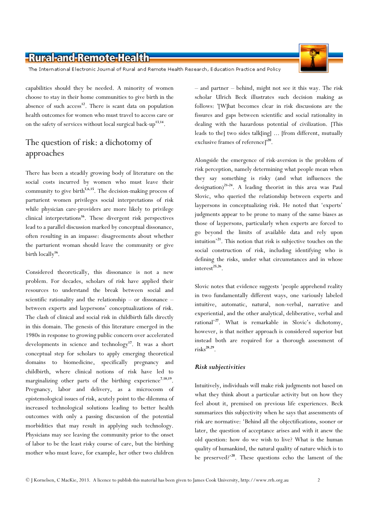The International Electronic Journal of Rural and Remote Health Research, Education Practice and Policy

capabilities should they be needed. A minority of women choose to stay in their home communities to give birth in the absence of such  $access<sup>12</sup>$ . There is scant data on population health outcomes for women who must travel to access care or on the safety of services without local surgical back-up<sup>13,14</sup>.

### The question of risk: a dichotomy of approaches

There has been a steadily growing body of literature on the social costs incurred by women who must leave their community to give birth<sup>5,6,15</sup>. The decision-making process of parturient women privileges social interpretations of risk while physician care-providers are more likely to privilege clinical interpretations<sup>16</sup>. These divergent risk perspectives lead to a parallel discussion marked by conceptual dissonance, often resulting in an impasse: disagreements about whether the parturient woman should leave the community or give birth locally<sup>16</sup>.

Considered theoretically, this dissonance is not a new problem. For decades, scholars of risk have applied their resources to understand the break between social and scientific rationality and the relationship – or dissonance – between experts and laypersons' conceptualizations of risk. The clash of clinical and social risk in childbirth falls directly in this domain. The genesis of this literature emerged in the 1980s in response to growing public concern over accelerated developments in science and technology<sup>17</sup>. It was a short conceptual step for scholars to apply emerging theoretical domains to biomedicine, specifically pregnancy and childbirth, where clinical notions of risk have led to marginalizing other parts of the birthing experience<sup>7,18,19</sup>. Pregnancy, labor and delivery, as a microcosm of epistemological issues of risk, acutely point to the dilemma of increased technological solutions leading to better health outcomes with only a passing discussion of the potential morbidities that may result in applying such technology. Physicians may see leaving the community prior to the onset of labor to be the least risky course of care, but the birthing mother who must leave, for example, her other two children

– and partner – behind, might not see it this way. The risk scholar Ulrich Beck illustrates such decision making as follows: '[W]hat becomes clear in risk discussions are the fissures and gaps between scientific and social rationality in dealing with the hazardous potential of civilization. [This leads to the] two sides talk[ing] ... [from different, mutually exclusive frames of reference]<sup>'20</sup>.

Alongside the emergence of risk-aversion is the problem of risk perception, namely determining what people mean when they say something is risky (and what influences the designation)<sup>21-24</sup>. A leading theorist in this area was Paul Slovic, who queried the relationship between experts and laypersons in conceptualizing risk. He noted that 'experts' judgments appear to be prone to many of the same biases as those of laypersons, particularly when experts are forced to go beyond the limits of available data and rely upon intuition'<sup>21</sup>. This notion that risk is subjective touches on the social construction of risk, including identifying who is defining the risks, under what circumstances and in whose interest $^{25,26}$ .

Slovic notes that evidence suggests 'people apprehend reality in two fundamentally different ways, one variously labeled intuitive, automatic, natural, non-verbal, narrative and experiential, and the other analytical, deliberative, verbal and rational'<sup>27</sup>. What is remarkable in Slovic's dichotomy, however, is that neither approach is considered superior but instead both are required for a thorough assessment of  $\text{risks}^{\text{28,29}}$ .

#### Risk subjectivities

Intuitively, individuals will make risk judgments not based on what they think about a particular activity but on how they feel about it, premised on previous life experiences. Beck summarizes this subjectivity when he says that assessments of risk are normative: 'Behind all the objectifications, sooner or later, the question of acceptance arises and with it anew the old question: how do we wish to live? What is the human quality of humankind, the natural quality of nature which is to be preserved?' $^{20}$ . These questions echo the lament of the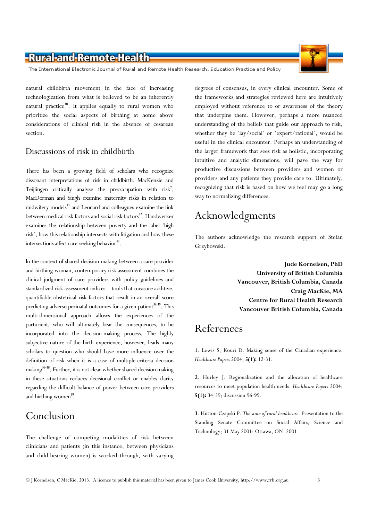The International Electronic Journal of Rural and Remote Health Research, Education Practice and Policy

natural childbirth movement in the face of increasing technologization from what is believed to be an inherently natural practice<sup>30</sup>. It applies equally to rural women who prioritize the social aspects of birthing at home above considerations of clinical risk in the absence of cesarean section.

#### Discussions of risk in childbirth

There has been a growing field of scholars who recognize dissonant interpretations of risk in childbirth. MacKenzie and Teijlingen critically analyze the preoccupation with risk<sup>7</sup>, MacDorman and Singh examine maternity risks in relation to midwifery models<sup>31</sup> and Leonard and colleagues examine the link between medical risk factors and social risk factors <sup>32</sup>. Handwerker examines the relationship between poverty and the label 'high risk', how this relationship intersects with litigation and how these intersections affect care-seeking behavior<sup>33</sup>.

In the context of shared decision making between a care provider and birthing woman, contemporary risk assessment combines the clinical judgment of care providers with policy guidelines and standardized risk assessment indices – tools that measure additive, quantifiable obstetrical risk factors that result in an overall score predicting adverse perinatal outcomes for a given patient<sup>34,35</sup>. This multi-dimensional approach allows the experiences of the parturient, who will ultimately bear the consequences, to be incorporated into the decision-making process. The highly subjective nature of the birth experience, however, leads many scholars to question who should have more influence over the definition of risk when it is a case of multiple-criteria decision making<sup>36-38</sup>. Further, it is not clear whether shared decision making in these situations reduces decisional conflict or enables clarity regarding the difficult balance of power between care providers and birthing women<sup>39</sup>.

## Conclusion

The challenge of competing modalities of risk between clinicians and patients (in this instance, between physicians and child-bearing women) is worked through, with varying degrees of consensus, in every clinical encounter. Some of the frameworks and strategies reviewed here are intuitively employed without reference to or awareness of the theory that underpins them. However, perhaps a more nuanced understanding of the beliefs that guide our approach to risk, whether they be 'lay/social' or 'expert/rational', would be useful in the clinical encounter. Perhaps an understanding of the larger framework that sees risk as holistic, incorporating intuitive and analytic dimensions, will pave the way for productive discussions between providers and women or providers and any patients they provide care to. Ultimately, recognizing that risk is based on how we feel may go a long way to normalizing differences.

## Acknowledgments

The authors acknowledge the research support of Stefan Grzybowski.

> Jude Kornelsen, PhD University of British Columbia Vancouver, British Columbia, Canada Craig MacKie, MA Centre for Rural Health Research Vancouver British Columbia, Canada

## References

1. Lewis S, Kouri D. Making sense of the Canadian experience. Healthcare Papers 2004; 5(1): 12-31.

2. Hurley J. Regionalization and the allocation of healthcare resources to meet population health needs. Healthcare Papers 2004; 5(1): 34-39; discussion 96-99.

3. Hutton-Czapski P. The state of rural healthcare. Presentation to the Standing Senate Committee on Social Affairs, Science and Technology; 31 May 2001; Ottawa, ON. 2001

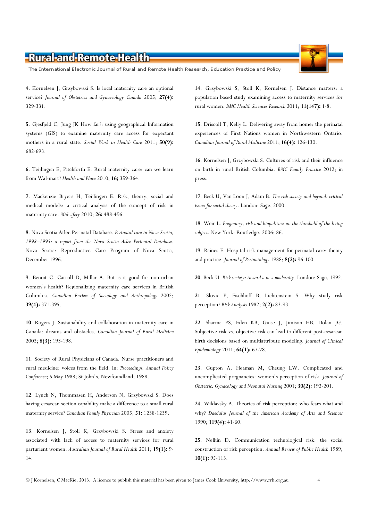The International Electronic Journal of Rural and Remote Health Research, Education Practice and Policy

4. Kornelsen J, Grzybowski S. Is local maternity care an optional service? Journal of Obstetrics and Gynaecology Canada 2005; 27(4): 329-331.

5. Gjesfjeld C, Jung JK How far?: using geographical Information systems (GIS) to examine maternity care access for expectant mothers in a rural state. Social Work in Health Care 2011; 50(9): 682-693.

6. Teijlingen E, Pitchforth E. Rural maternity care: can we learn from Wal-mart? Health and Place 2010; 16; 359-364.

7. Mackenzie Bryers H, Teijlingen E. Risk, theory, social and medical models: a critical analysis of the concept of risk in maternity care. Midwifery 2010; 26: 488-496.

8. Nova Scotia Atlee Perinatal Database. Perinatal care in Nova Scotia, 1998–1995: a report from the Nova Scotia Atlee Perinatal Database. Nova Scotia: Reproductive Care Program of Nova Scotia, December 1996.

9. Benoit C, Carroll D, Millar A. But is it good for non-urban women's health? Regionalizing maternity care services in British Columbia. Canadian Review of Sociology and Anthropology 2002; 39(4): 371-395.

10. Rogers J. Sustainability and collaboration in maternity care in Canada: dreams and obstacles. Canadian Journal of Rural Medicine 2003; 8(3): 193-198.

11. Society of Rural Physicians of Canada. Nurse practitioners and rural medicine: voices from the field. In: Proceedings, Annual Policy Conference; 5 May 1988; St John's, Newfoundland; 1988.

12. Lynch N, Thommasen H, Anderson N, Grzybowski S. Does having cesarean section capability make a difference to a small rural maternity service? Canadian Family Physician 2005; 51: 1238-1239.

13. Kornelsen J, Stoll K, Grzybowski S. Stress and anxiety associated with lack of access to maternity services for rural parturient women. Australian Journal of Rural Health 2011; 19(1): 9-14.

14. Grzybowski S, Stoll K, Kornelsen J. Distance matters: a population based study examining access to maternity services for rural women. BMC Health Sciences Research 2011; 11(147): 1-8.

15. Driscoll T, Kelly L. Delivering away from home: the perinatal experiences of First Nations women in Northwestern Ontario. Canadian Journal of Rural Medicine 2011; 16(4): 126-130.

16. Kornelsen J, Grzybowski S. Cultures of risk and their influence on birth in rural British Columbia. BMC Family Practice 2012; in press.

17. Beck U, Van Loon J, Adam B. The risk society and beyond: critical issues for social theory. London: Sage, 2000.

18. Weir L. Pregnancy, risk and biopolitics: on the threshold of the living subject. New York: Routledge, 2006; 86.

19. Raines E. Hospital risk management for perinatal care: theory and practice. Journal of Perinatology 1988; 8(2): 96-100.

20. Beck U. Risk society: toward a new modernity. London: Sage, 1992.

21. Slovic P, Fischhoff B, Lichtenstein S. Why study risk perception? Risk Analysis 1982; 2(2): 83-93.

22. Sharma PS, Eden KB, Guise J, Jimison HB, Dolan JG. Subjective risk vs. objective risk can lead to different post-cesarean birth decisions based on multiattribute modeling. Journal of Clinical Epidemiology 2011; 64(1): 67-78.

23. Gupton A, Heaman M, Cheung LW. Complicated and uncomplicated pregnancies: women's perception of risk. Journal of Obstetric, Gynacology and Neonatal Nursing 2001; 30(2): 192-201.

24. Wildavsky A. Theories of risk perception: who fears what and why? Daedalus Journal of the American Academy of Arts and Sciences 1990; 119(4): 41-60.

25. Nelkin D. Communication technological risk: the social construction of risk perception. Annual Review of Public Health 1989; 10(1): 95-113.